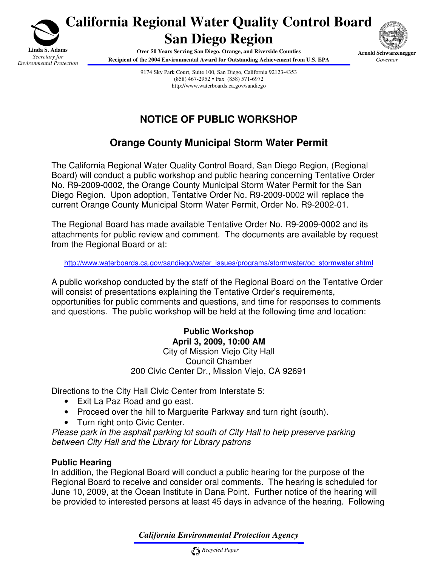

**California Regional Water Quality Control Board San Diego Region**

> **Over 50 Years Serving San Diego, Orange, and Riverside Counties Recipient of the 2004 Environmental Award for Outstanding Achievement from U.S. EPA**



9174 Sky Park Court, Suite 100, San Diego, California 92123-4353 (858) 467-2952 Fax (858) 571-6972 http://www.waterboards.ca.gov/sandiego

# **NOTICE OF PUBLIC WORKSHOP**

# **Orange County Municipal Storm Water Permit**

The California Regional Water Quality Control Board, San Diego Region, (Regional Board) will conduct a public workshop and public hearing concerning Tentative Order No. R9-2009-0002, the Orange County Municipal Storm Water Permit for the San Diego Region. Upon adoption, Tentative Order No. R9-2009-0002 will replace the current Orange County Municipal Storm Water Permit, Order No. R9-2002-01.

The Regional Board has made available Tentative Order No. R9-2009-0002 and its attachments for public review and comment. The documents are available by request from the Regional Board or at:

http://www.waterboards.ca.gov/sandiego/water\_issues/programs/stormwater/oc\_stormwater.shtml

A public workshop conducted by the staff of the Regional Board on the Tentative Order will consist of presentations explaining the Tentative Order's requirements, opportunities for public comments and questions, and time for responses to comments and questions. The public workshop will be held at the following time and location:

#### **Public Workshop April 3, 2009, 10:00 AM**  City of Mission Viejo City Hall Council Chamber 200 Civic Center Dr., Mission Viejo, CA 92691

Directions to the City Hall Civic Center from Interstate 5:

- Exit La Paz Road and go east.
- Proceed over the hill to Marguerite Parkway and turn right (south).
- Turn right onto Civic Center.

Please park in the asphalt parking lot south of City Hall to help preserve parking between City Hall and the Library for Library patrons

#### **Public Hearing**

In addition, the Regional Board will conduct a public hearing for the purpose of the Regional Board to receive and consider oral comments. The hearing is scheduled for June 10, 2009, at the Ocean Institute in Dana Point. Further notice of the hearing will be provided to interested persons at least 45 days in advance of the hearing. Following

*California Environmental Protection Agency*